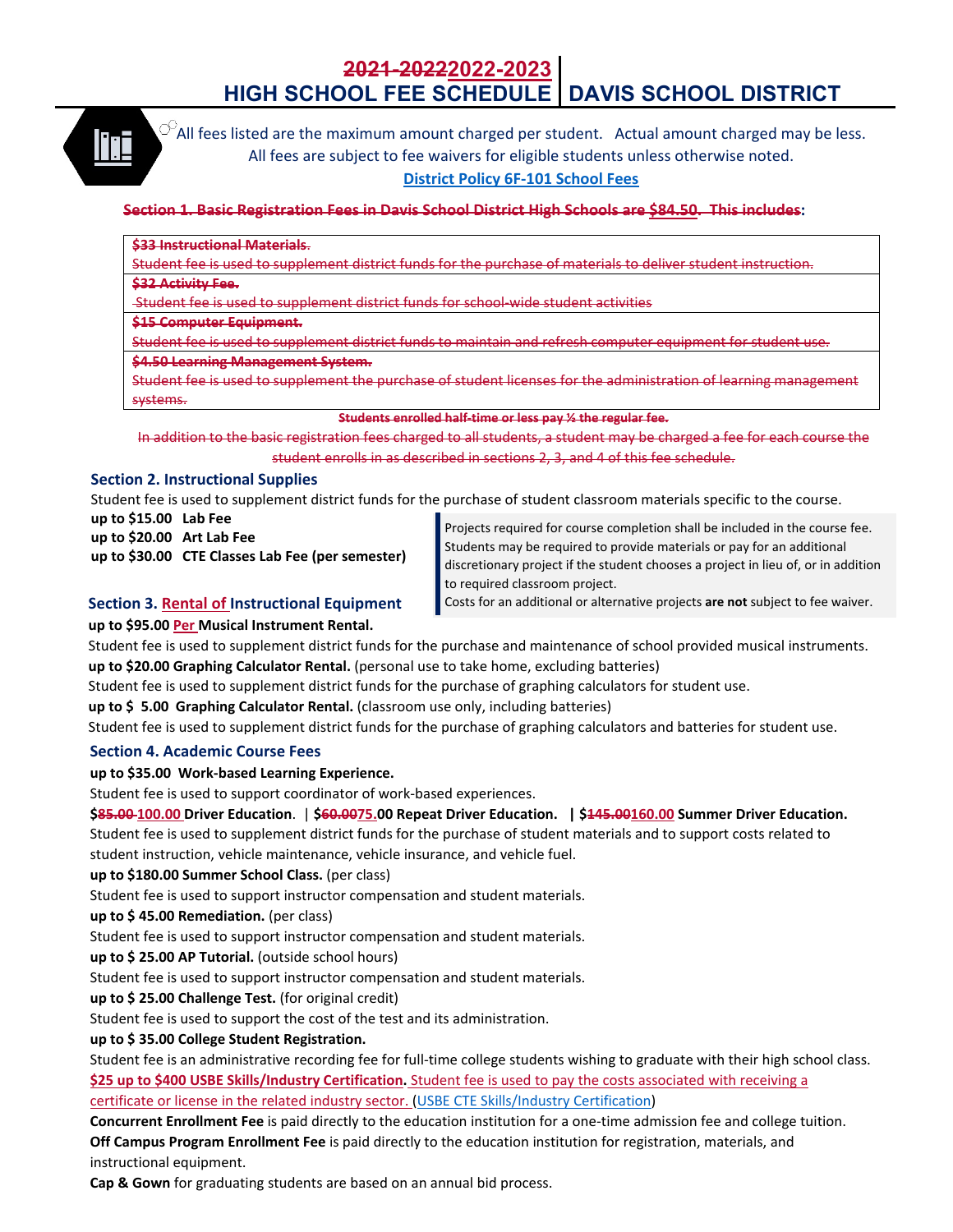# **2021-20222022-2023 HIGH SCHOOL FEE SCHEDULE DAVIS SCHOOL DISTRICT**



 $\heartsuit$ All fees listed are the maximum amount charged per student. Actual amount charged may be less. All fees are subject to fee waivers for eligible students unless otherwise noted.

## **District Policy 6F‐101 School Fees**

## **Section 1. Basic Registration Fees in Davis School District High Schools are \$84.50. This includes:**

#### **\$33 Instructional Materials**.

Student fee is used to supplement district funds for the purchase of materials to deliver student instruction.

**\$32 Activity Fee.**

Student fee is used to supplement district funds for school‐wide student activities

### **\$15 Computer Equipment.**

Student fee is used to supplement district funds to maintain and refresh computer equipment for student use.

### **\$4.50 Learning Management System.**

Student fee is used to supplement the purchase of student licenses for the administration of learning management systems.

## **Students enrolled half‐time or less pay ½ the regular fee.**

In addition to the basic registration fees charged to all students, a student may be charged a fee for each course student enrolls in as described in sections 2, 3, and 4 of this fee schedule.

## **Section 2. Instructional Supplies**

Student fee is used to supplement district funds for the purchase of student classroom materials specific to the course.

**up to \$15.00 Lab Fee up to \$20.00 Art Lab Fee**

**up to \$30.00 CTE Classes Lab Fee (per semester)**

Projects required for course completion shall be included in the course fee. Students may be required to provide materials or pay for an additional discretionary project if the student chooses a project in lieu of, or in addition to required classroom project.

Costs for an additional or alternative projects **are not** subject to fee waiver.

## **Section 3. Rental of Instructional Equipment**

**up to \$95.00 Per Musical Instrument Rental.**

Student fee is used to supplement district funds for the purchase and maintenance of school provided musical instruments. **up to \$20.00 Graphing Calculator Rental.** (personal use to take home, excluding batteries)

Student fee is used to supplement district funds for the purchase of graphing calculators for student use.

**up to \$ 5.00 Graphing Calculator Rental.** (classroom use only, including batteries)

Student fee is used to supplement district funds for the purchase of graphing calculators and batteries for student use.

## **Section 4. Academic Course Fees**

## **up to \$35.00 Work‐based Learning Experience.**

Student fee is used to support coordinator of work‐based experiences.

**\$85.00 100.00 Driver Education**. | **\$60.0075.00 Repeat Driver Education. | \$145.00160.00 Summer Driver Education.**

Student fee is used to supplement district funds for the purchase of student materials and to support costs related to student instruction, vehicle maintenance, vehicle insurance, and vehicle fuel.

## **up to \$180.00 Summer School Class.** (per class)

Student fee is used to support instructor compensation and student materials.

**up to \$ 45.00 Remediation.** (per class)

Student fee is used to support instructor compensation and student materials.

**up to \$ 25.00 AP Tutorial.** (outside school hours)

Student fee is used to support instructor compensation and student materials.

**up to \$ 25.00 Challenge Test.** (for original credit)

Student fee is used to support the cost of the test and its administration.

## **up to \$ 35.00 College Student Registration.**

Student fee is an administrative recording fee for full-time college students wishing to graduate with their high school class. **\$25 up to \$400 USBE Skills/Industry Certification.** Student fee is used to pay the costs associated with receiving a certificate or license in the related industry sector. (USBE CTE Skills/Industry Certification)

**Concurrent Enrollment Fee** is paid directly to the education institution for a one‐time admission fee and college tuition. **Off Campus Program Enrollment Fee** is paid directly to the education institution for registration, materials, and instructional equipment.

**Cap & Gown** for graduating students are based on an annual bid process.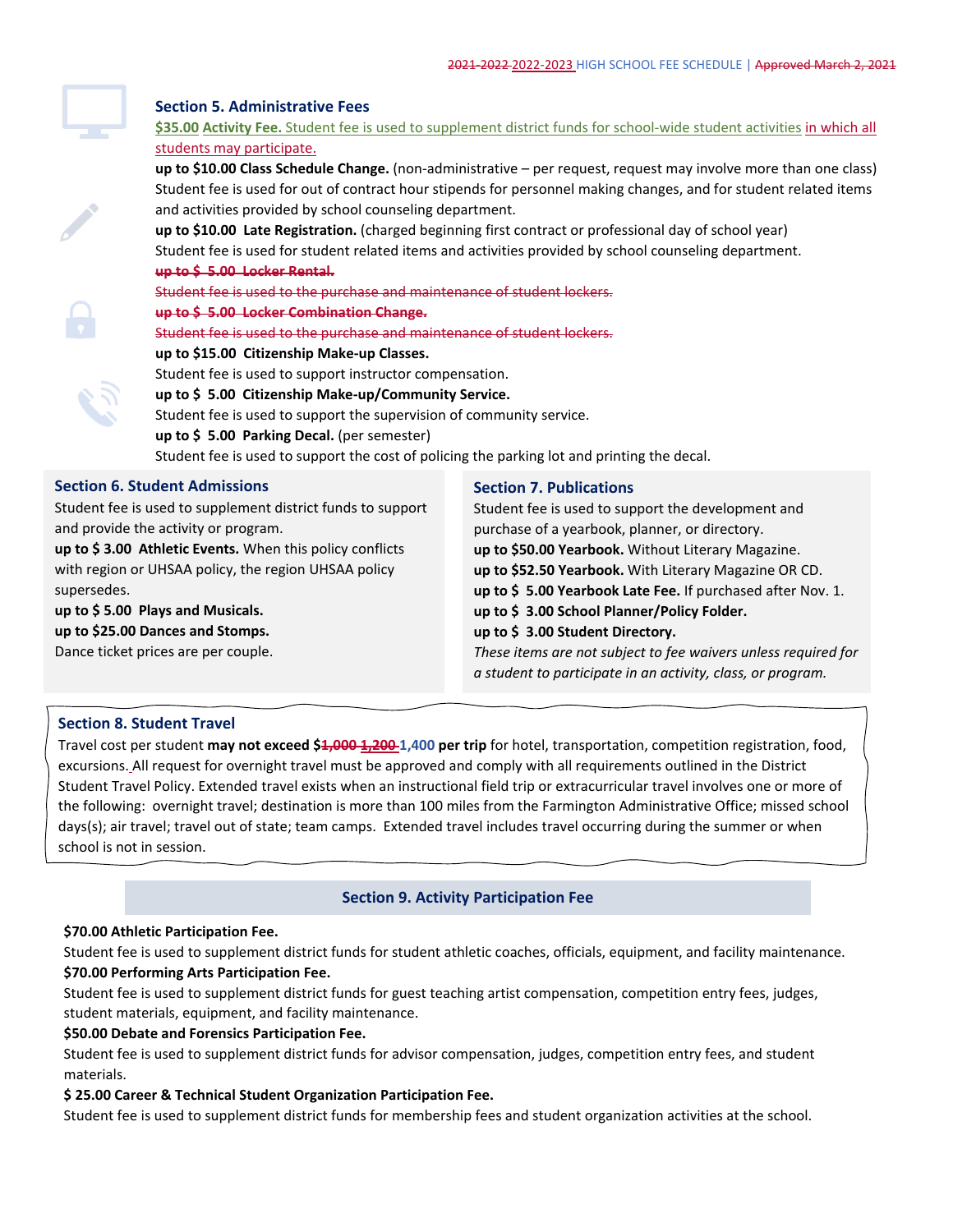

supersedes.

**up to \$ 5.00 Plays and Musicals. up to \$25.00 Dances and Stomps.** Dance ticket prices are per couple. **up to \$52.50 Yearbook.** With Literary Magazine OR CD. **up to \$ 5.00 Yearbook Late Fee.** If purchased after Nov. 1. **up to \$ 3.00 School Planner/Policy Folder. up to \$ 3.00 Student Directory.** *These items are not subject to fee waivers unless required for a student to participate in an activity, class, or program.*

## **Section 8. Student Travel**

Travel cost per student **may not exceed \$1,000 1,200 1,400 per trip** for hotel, transportation, competition registration, food, excursions. All request for overnight travel must be approved and comply with all requirements outlined in the District Student Travel Policy. Extended travel exists when an instructional field trip or extracurricular travel involves one or more of the following: overnight travel; destination is more than 100 miles from the Farmington Administrative Office; missed school days(s); air travel; travel out of state; team camps. Extended travel includes travel occurring during the summer or when school is not in session.

## **Section 9. Activity Participation Fee**

#### **\$70.00 Athletic Participation Fee.**

Student fee is used to supplement district funds for student athletic coaches, officials, equipment, and facility maintenance. **\$70.00 Performing Arts Participation Fee.** 

Student fee is used to supplement district funds for guest teaching artist compensation, competition entry fees, judges, student materials, equipment, and facility maintenance.

#### **\$50.00 Debate and Forensics Participation Fee.**

Student fee is used to supplement district funds for advisor compensation, judges, competition entry fees, and student materials.

#### **\$ 25.00 Career & Technical Student Organization Participation Fee.**

Student fee is used to supplement district funds for membership fees and student organization activities at the school.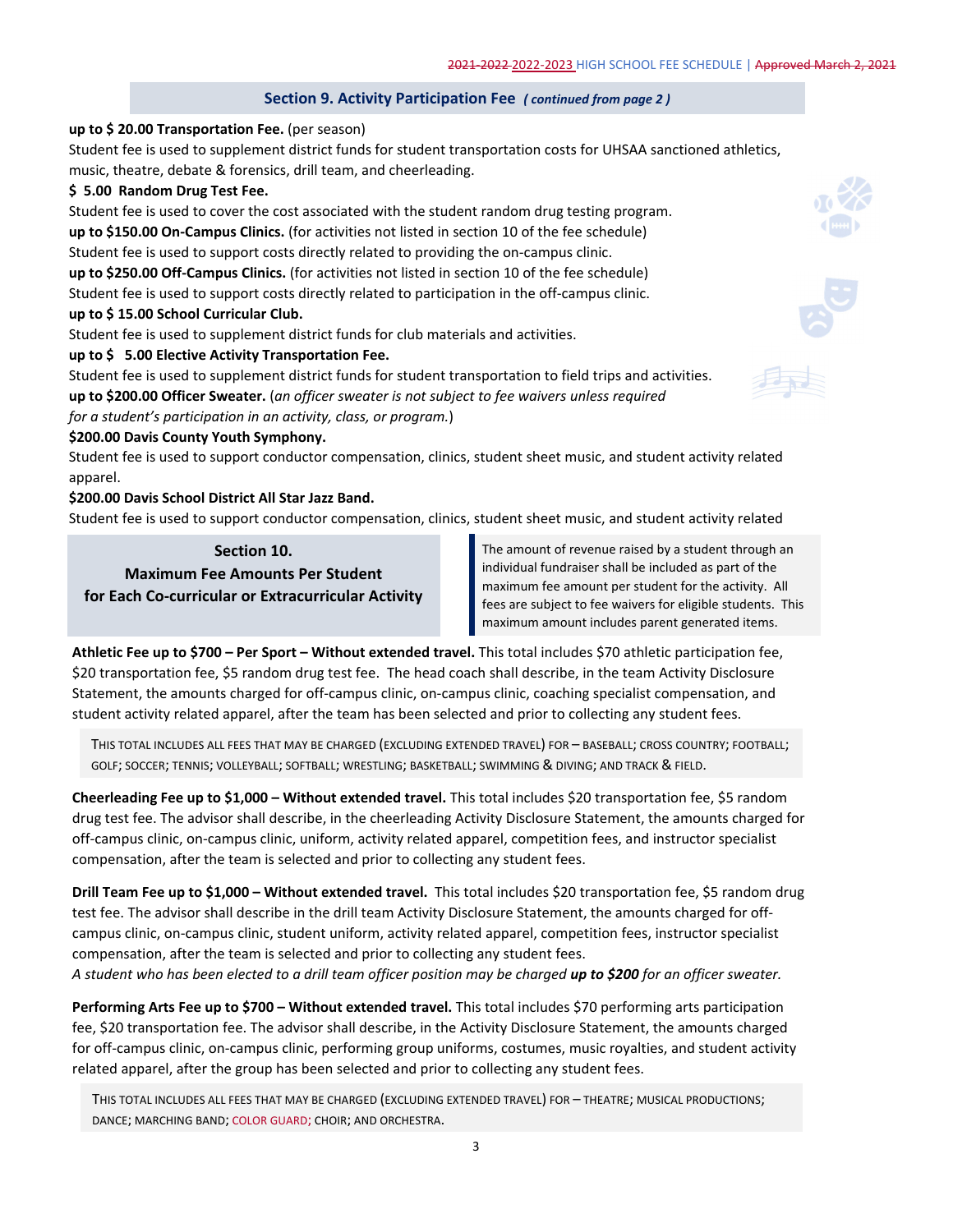#### **Section 9. Activity Participation Fee** *( continued from page <sup>2</sup> )*

#### **up to \$ 20.00 Transportation Fee.** (per season)

Student fee is used to supplement district funds for student transportation costs for UHSAA sanctioned athletics, music, theatre, debate & forensics, drill team, and cheerleading.

#### **\$ 5.00 Random Drug Test Fee.**

Student fee is used to cover the cost associated with the student random drug testing program. **up to \$150.00 On‐Campus Clinics.** (for activities not listed in section 10 of the fee schedule)

Student fee is used to support costs directly related to providing the on‐campus clinic. **up to \$250.00 Off‐Campus Clinics.** (for activities not listed in section 10 of the fee schedule)

Student fee is used to support costs directly related to participation in the off‐campus clinic. **up to \$ 15.00 School Curricular Club.**

Student fee is used to supplement district funds for club materials and activities.

#### **up to \$ 5.00 Elective Activity Transportation Fee.**

Student fee is used to supplement district funds for student transportation to field trips and activities.

**up to \$200.00 Officer Sweater.** (*an officer sweater is not subject to fee waivers unless required*

*for a student's participation in an activity, class, or program.*)

## **\$200.00 Davis County Youth Symphony.**

Student fee is used to support conductor compensation, clinics, student sheet music, and student activity related apparel.

#### **\$200.00 Davis School District All Star Jazz Band.**

Student fee is used to support conductor compensation, clinics, student sheet music, and student activity related

**Section 10. Maximum Fee Amounts Per Student for Each Co‐curricular or Extracurricular Activity** The amount of revenue raised by a student through an individual fundraiser shall be included as part of the maximum fee amount per student for the activity. All fees are subject to fee waivers for eligible students. This maximum amount includes parent generated items.

**Athletic Fee up to \$700 – Per Sport – Without extended travel.** This total includes \$70 athletic participation fee, \$20 transportation fee, \$5 random drug test fee. The head coach shall describe, in the team Activity Disclosure Statement, the amounts charged for off‐campus clinic, on‐campus clinic, coaching specialist compensation, and student activity related apparel, after the team has been selected and prior to collecting any student fees.

THIS TOTAL INCLUDES ALL FEES THAT MAY BE CHARGED (EXCLUDING EXTENDED TRAVEL) FOR – BASEBALL; CROSS COUNTRY; FOOTBALL; GOLF; SOCCER; TENNIS; VOLLEYBALL; SOFTBALL; WRESTLING; BASKETBALL; SWIMMING & DIVING; AND TRACK & FIELD.

**Cheerleading Fee up to \$1,000 – Without extended travel.** This total includes \$20 transportation fee, \$5 random drug test fee. The advisor shall describe, in the cheerleading Activity Disclosure Statement, the amounts charged for off-campus clinic, on-campus clinic, uniform, activity related apparel, competition fees, and instructor specialist compensation, after the team is selected and prior to collecting any student fees.

**Drill Team Fee up to \$1,000 – Without extended travel.** This total includes \$20 transportation fee, \$5 random drug test fee. The advisor shall describe in the drill team Activity Disclosure Statement, the amounts charged for off‐ campus clinic, on-campus clinic, student uniform, activity related apparel, competition fees, instructor specialist compensation, after the team is selected and prior to collecting any student fees.

A student who has been elected to a drill team officer position may be charged up to \$200 for an officer sweater.

**Performing Arts Fee up to \$700 – Without extended travel.** This total includes \$70 performing arts participation fee, \$20 transportation fee. The advisor shall describe, in the Activity Disclosure Statement, the amounts charged for off-campus clinic, on-campus clinic, performing group uniforms, costumes, music royalties, and student activity related apparel, after the group has been selected and prior to collecting any student fees.

THIS TOTAL INCLUDES ALL FEES THAT MAY BE CHARGED (EXCLUDING EXTENDED TRAVEL) FOR – THEATRE; MUSICAL PRODUCTIONS; DANCE; MARCHING BAND; COLOR GUARD; CHOIR; AND ORCHESTRA.



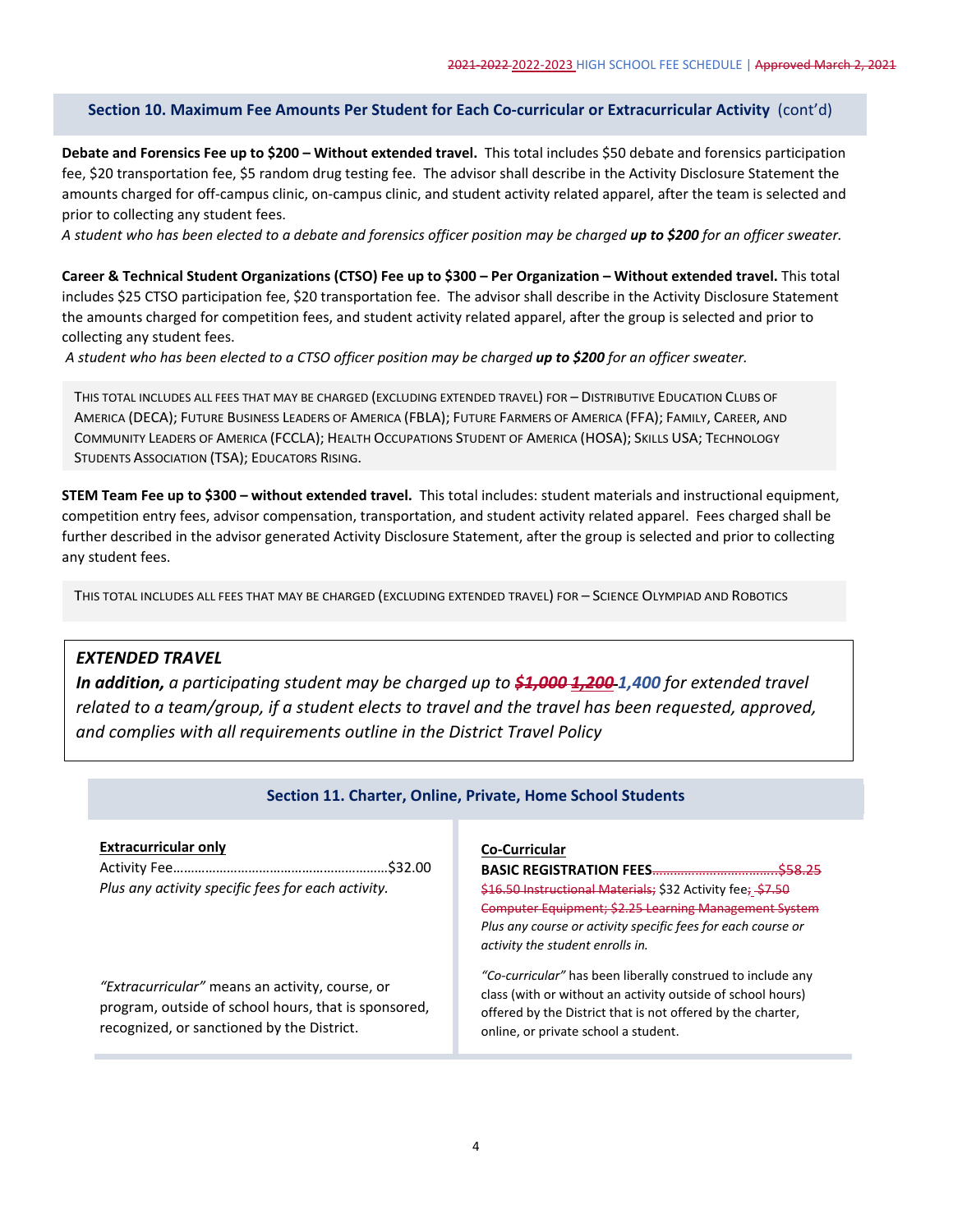## **Section 10. Maximum Fee Amounts Per Student for Each Co‐curricular or Extracurricular Activity** (cont'd)

 amounts charged for off‐campus clinic, on‐campus clinic, and student activity related apparel, after the team is selected and **Debate and Forensics Fee up to \$200 – Without extended travel.** This total includes \$50 debate and forensics participation fee, \$20 transportation fee, \$5 random drug testing fee. The advisor shall describe in the Activity Disclosure Statement the prior to collecting any student fees.

A student who has been elected to a debate and forensics officer position may be charged up to \$200 for an officer sweater.

Career & Technical Student Organizations (CTSO) Fee up to \$300 - Per Organization - Without extended travel. This total includes \$25 CTSO participation fee, \$20 transportation fee. The advisor shall describe in the Activity Disclosure Statement the amounts charged for competition fees, and student activity related apparel, after the group is selected and prior to collecting any student fees.

A student who has been elected to a CTSO officer position may be charged up to \$200 for an officer sweater.

THIS TOTAL INCLUDES ALL FEES THAT MAY BE CHARGED (EXCLUDING EXTENDED TRAVEL) FOR – DISTRIBUTIVE EDUCATION CLUBS OF AMERICA (DECA); FUTURE BUSINESS LEADERS OF AMERICA (FBLA); FUTURE FARMERS OF AMERICA (FFA); FAMILY, CAREER, AND COMMUNITY LEADERS OF AMERICA (FCCLA); HEALTH OCCUPATIONS STUDENT OF AMERICA (HOSA); SKILLS USA; TECHNOLOGY STUDENTS ASSOCIATION (TSA); EDUCATORS RISING.

**STEM Team Fee up to \$300 – without extended travel.** This total includes: student materials and instructional equipment, competition entry fees, advisor compensation, transportation, and student activity related apparel. Fees charged shall be further described in the advisor generated Activity Disclosure Statement, after the group is selected and prior to collecting any student fees.

THIS TOTAL INCLUDES ALL FEES THAT MAY BE CHARGED (EXCLUDING EXTENDED TRAVEL) FOR – SCIENCE OLYMPIAD AND ROBOTICS

## *EXTENDED TRAVEL*

*In addition, a participating student may be charged up to \$1,000 1,200 1,400 for extended travel related to a team/group, if a student elects to travel and the travel has been requested, approved, and complies with all requirements outline in the District Travel Policy*

| Section 11. Charter, Online, Private, Home School Students |  |  |  |
|------------------------------------------------------------|--|--|--|
|------------------------------------------------------------|--|--|--|

| <b>Extracurricular only</b><br>Plus any activity specific fees for each activity.                                                                     | <b>Co-Curricular</b><br><b>BASIC REGISTRATION FEES</b><br><u>458 25</u><br>\$16.50 Instructional Materials; \$32 Activity fee; \$7.50<br>Computer Equipment; \$2.25 Learning Management System<br>Plus any course or activity specific fees for each course or<br>activity the student enrolls in. |
|-------------------------------------------------------------------------------------------------------------------------------------------------------|----------------------------------------------------------------------------------------------------------------------------------------------------------------------------------------------------------------------------------------------------------------------------------------------------|
| "Extracurricular" means an activity, course, or<br>program, outside of school hours, that is sponsored,<br>recognized, or sanctioned by the District. | "Co-curricular" has been liberally construed to include any<br>class (with or without an activity outside of school hours)<br>offered by the District that is not offered by the charter,<br>online, or private school a student.                                                                  |